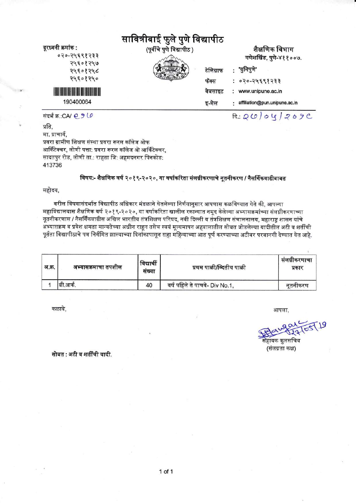| दूरध्वनी क्रमांक :<br>०२०-२५६९१२३३                                                                                                | सावित्रीबाई फुले पुणे विद्यापीठ<br>(पूर्वीचे पुणे विद्यापीठ ) | शैक्षणिक विभाग<br>गणेशखिंड, पुणे-४११००७.                |  |
|-----------------------------------------------------------------------------------------------------------------------------------|---------------------------------------------------------------|---------------------------------------------------------|--|
| २५६०१२५७<br>२५६०१२५८<br>२५६०१२५०                                                                                                  | टेलिग्राफ<br>फॅक्स                                            | 'युनिपुणे'<br>: ०२०-२५६९१२३३                            |  |
| <u>Maria Maria Maria Maria Maria Maria Maria Maria Maria Maria Maria Maria Maria Maria Maria Maria Maria Maria M</u><br>190400064 | वेबसाइट<br>इ-मेल                                              | www.unipune.ac.in<br>÷<br>affiliation@pun.unipune.ac.in |  |
| संदर्भ क्र.:CA/ @ 9 LO                                                                                                            |                                                               | a:Q(0)04709C                                            |  |

प्रति, मा. प्राचार्य. प्रवरा ग्रामीण शिक्षण संस्था प्रवरा रूरल कॉलेज ओफ आर्किटेक्चर, लोणी पत्ता: प्रवरा रूरल कॉलेज ओ आर्किटेक्चर, सादतपुर रोड, लोणी ता.: राहता जि: अहमदनगर पिनकोड: 413736

## विषय:- शैक्षणिक वर्ष २०१९-२०२०, या वर्षाकरिता संलग्नीकरणाचे नूतनीकरण / नैसर्गिकवाढीबाबत

## महोदय,

वरील विषयासंदर्भात विद्यापीठ अधिकार मंडळाने घेतलेल्या निर्णयानुसार आपणास कळविण्यात येते की, आपल्या महाविद्यालयास शैक्षणिक वर्ष २०१९-२०२०, या वर्षाकरिता खालील रकान्यात नमूद केलेल्या अभ्यासक्रमांच्या संलग्नीकरणाच्या नूतनीकरणास / नैसर्गिकवाढीस अखिल भारतीय तंत्रशिक्षण परिषद, नवी दिल्ली व तंत्रशिक्षण संचालनालय, महाराष्ट शासन यांचे ्<br>अभ्यासक्रम व प्रवेश क्षमता मान्यतेच्या अधीन राहून तसेच स्वयं मूल्यमापन अहवालातील सोबत जोडलेल्या यादीतील अटी व शर्तीची पूर्तता विद्यापीठाचे पत्र निर्गमित झाल्याच्या दिनांकापासून सहा महिन्याच्या आत पूर्ण करण्याच्या अटीवर परवानगी देण्यात येत आहे.

| अ.क्र. | अभ्यासक्रमाचा तपशील | विद्यार्थी<br>सख्या | प्रथम पाळी/व्दितीय पाळी        | सलग्नाकरणाचा<br>प्रकार |
|--------|---------------------|---------------------|--------------------------------|------------------------|
|        | बी.आर्क.            | 40                  | वर्ष पहिले ते पाचवे- Div No.1, | नतनीकरण                |

कळावे.

आपला,

यक कुलसचि (संलग्नता कक्ष)

सोबत : अटी व शर्तींची यादी.